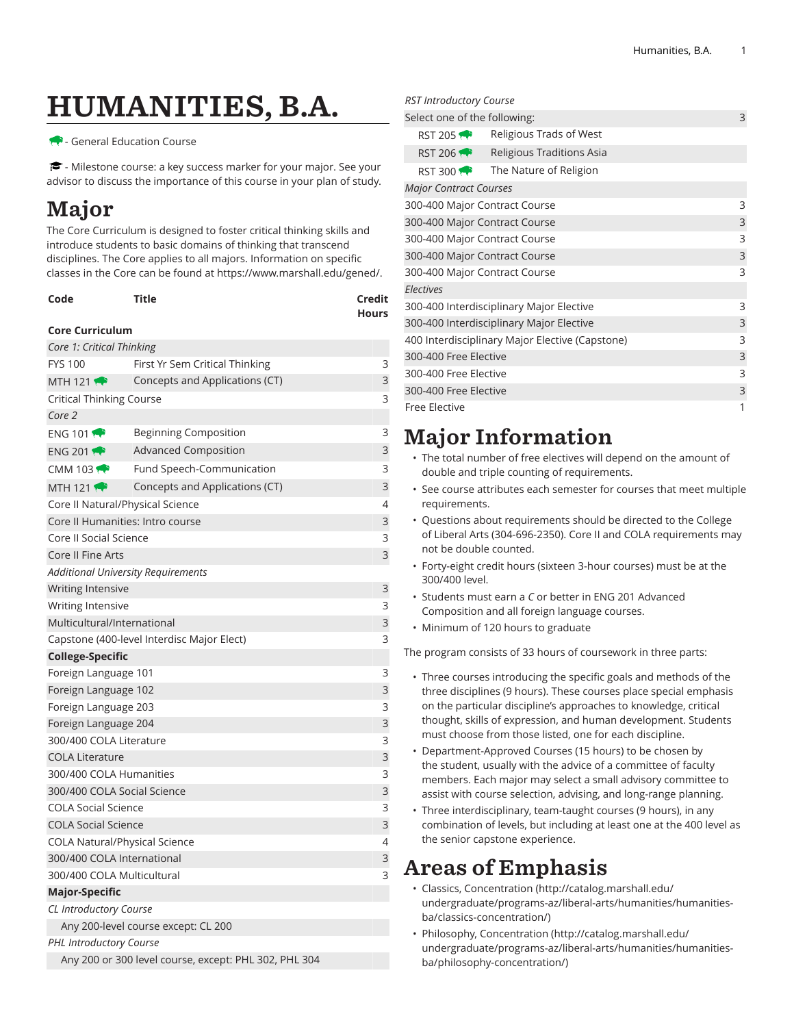# HUMANITIES, B.A.

#### - General Education Course

 $\blacktriangleright$  - Milestone course: a key success marker for your major. See your advisor to discuss the importance of this course in your plan of study.

## Major

The Core Curriculum is designed to foster critical thinking skills and introduce students to basic domains of thinking that transcend disciplines. The Core applies to all majors. Information on specific classes in the Core can be found at [https://www.marshall.edu/gened/.](https://www.marshall.edu/gened/)

| Code | Title | Credit       |
|------|-------|--------------|
|      |       | <b>Hours</b> |

#### **Core Curriculum**

| Core 1: Critical Thinking                             |                                            |   |
|-------------------------------------------------------|--------------------------------------------|---|
| <b>FYS 100</b>                                        | First Yr Sem Critical Thinking             | 3 |
| MTH 121                                               | Concepts and Applications (CT)             | 3 |
| Critical Thinking Course                              |                                            |   |
| Core 2                                                |                                            |   |
| ENG 101 $\bullet$                                     | <b>Beginning Composition</b>               | 3 |
| ENG 201                                               | <b>Advanced Composition</b>                | 3 |
| CMM 103 $\bigoplus$                                   | Fund Speech-Communication                  | 3 |
| <b>MTH 121</b>                                        | Concepts and Applications (CT)             | 3 |
| Core II Natural/Physical Science                      |                                            | 4 |
|                                                       | Core II Humanities: Intro course           | 3 |
| Core II Social Science                                |                                            | 3 |
| Core II Fine Arts                                     |                                            | 3 |
|                                                       | <b>Additional University Requirements</b>  |   |
| <b>Writing Intensive</b>                              |                                            | 3 |
| Writing Intensive                                     |                                            | 3 |
| Multicultural/International                           |                                            | 3 |
|                                                       | Capstone (400-level Interdisc Major Elect) | 3 |
| <b>College-Specific</b>                               |                                            |   |
| Foreign Language 101                                  |                                            | 3 |
| Foreign Language 102                                  |                                            | 3 |
| Foreign Language 203                                  |                                            | 3 |
| Foreign Language 204                                  |                                            | 3 |
| 300/400 COLA Literature                               |                                            | 3 |
| <b>COLA Literature</b>                                |                                            | 3 |
| 300/400 COLA Humanities                               |                                            | 3 |
| 300/400 COLA Social Science                           |                                            | 3 |
| <b>COLA Social Science</b>                            |                                            | 3 |
| <b>COLA Social Science</b>                            |                                            | 3 |
| <b>COLA Natural/Physical Science</b>                  |                                            |   |
| 300/400 COLA International                            |                                            | 3 |
| 300/400 COLA Multicultural                            |                                            | 3 |
| <b>Major-Specific</b>                                 |                                            |   |
| CL Introductory Course                                |                                            |   |
|                                                       | Any 200-level course except: CL 200        |   |
| <b>PHL Introductory Course</b>                        |                                            |   |
| Any 200 or 300 level course, except: PHL 302, PHL 304 |                                            |   |

#### *RST Introductory Course*

| Select one of the following:                    |                           |  | 3 |  |
|-------------------------------------------------|---------------------------|--|---|--|
| RST 205                                         | Religious Trads of West   |  |   |  |
| RST 206                                         | Religious Traditions Asia |  |   |  |
| <b>RST 300 19</b>                               | The Nature of Religion    |  |   |  |
| <b>Major Contract Courses</b>                   |                           |  |   |  |
| 300-400 Major Contract Course                   |                           |  | 3 |  |
| 300-400 Major Contract Course                   |                           |  | 3 |  |
| 300-400 Major Contract Course                   |                           |  | 3 |  |
| 300-400 Major Contract Course                   |                           |  | 3 |  |
| 300-400 Major Contract Course                   |                           |  | 3 |  |
| <b>Electives</b>                                |                           |  |   |  |
| 300-400 Interdisciplinary Major Elective        |                           |  | 3 |  |
| 300-400 Interdisciplinary Major Elective        |                           |  | 3 |  |
| 400 Interdisciplinary Major Elective (Capstone) |                           |  | 3 |  |
| 300-400 Free Elective                           |                           |  | 3 |  |
| 300-400 Free Elective                           |                           |  | 3 |  |
| 300-400 Free Elective                           |                           |  | 3 |  |
| <b>Free Elective</b>                            |                           |  | 1 |  |
|                                                 |                           |  |   |  |

### Major Information

- The total number of free electives will depend on the amount of double and triple counting of requirements.
- See course attributes each semester for courses that meet multiple requirements.
- Questions about requirements should be directed to the College of Liberal Arts (304-696-2350). Core II and COLA requirements may not be double counted.
- Forty-eight credit hours (sixteen 3-hour courses) must be at the 300/400 level.
- Students must earn a *C* or better in ENG 201 Advanced Composition and all foreign language courses.
- Minimum of 120 hours to graduate

The program consists of 33 hours of coursework in three parts:

- Three courses introducing the specific goals and methods of the three disciplines (9 hours). These courses place special emphasis on the particular discipline's approaches to knowledge, critical thought, skills of expression, and human development. Students must choose from those listed, one for each discipline.
- Department-Approved Courses (15 hours) to be chosen by the student, usually with the advice of a committee of faculty members. Each major may select a small advisory committee to assist with course selection, advising, and long-range planning.
- Three interdisciplinary, team-taught courses (9 hours), in any combination of levels, but including at least one at the 400 level as the senior capstone experience.

### Areas of Emphasis

- Classics, [Concentration](http://catalog.marshall.edu/undergraduate/programs-az/liberal-arts/humanities/humanities-ba/classics-concentration/) ([http://catalog.marshall.edu/](http://catalog.marshall.edu/undergraduate/programs-az/liberal-arts/humanities/humanities-ba/classics-concentration/) [undergraduate/programs-az/liberal-arts/humanities/humanities](http://catalog.marshall.edu/undergraduate/programs-az/liberal-arts/humanities/humanities-ba/classics-concentration/)[ba/classics-concentration/](http://catalog.marshall.edu/undergraduate/programs-az/liberal-arts/humanities/humanities-ba/classics-concentration/))
- Philosophy, [Concentration](http://catalog.marshall.edu/undergraduate/programs-az/liberal-arts/humanities/humanities-ba/philosophy-concentration/) ([http://catalog.marshall.edu/](http://catalog.marshall.edu/undergraduate/programs-az/liberal-arts/humanities/humanities-ba/philosophy-concentration/) [undergraduate/programs-az/liberal-arts/humanities/humanities](http://catalog.marshall.edu/undergraduate/programs-az/liberal-arts/humanities/humanities-ba/philosophy-concentration/)[ba/philosophy-concentration/](http://catalog.marshall.edu/undergraduate/programs-az/liberal-arts/humanities/humanities-ba/philosophy-concentration/))